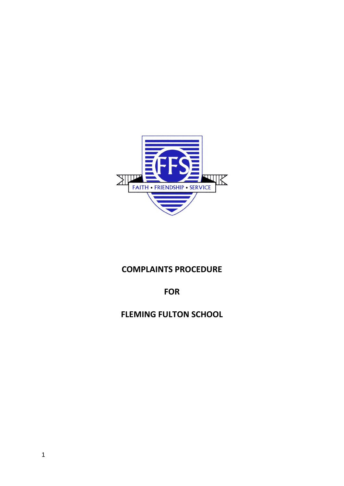

# **COMPLAINTS PROCEDURE**

**FOR**

**FLEMING FULTON SCHOOL**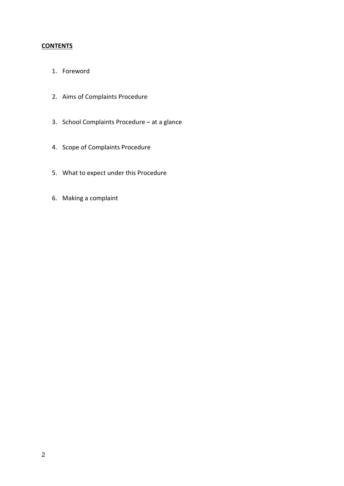# **CONTENTS**

- 1. Foreword
- 2. Aims of Complaints Procedure
- 3. School Complaints Procedure at a glance
- 4. Scope of Complaints Procedure
- 5. What to expect under this Procedure
- 6. Making a complaint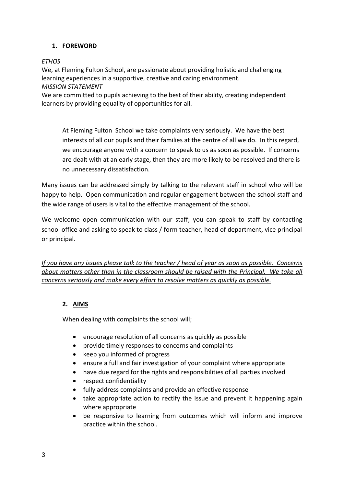# **1. FOREWORD**

#### *ETHOS*

We, at Fleming Fulton School, are passionate about providing holistic and challenging learning experiences in a supportive, creative and caring environment. *MISSION STATEMENT*

We are committed to pupils achieving to the best of their ability, creating independent learners by providing equality of opportunities for all.

At Fleming Fulton School we take complaints very seriously. We have the best interests of all our pupils and their families at the centre of all we do. In this regard, we encourage anyone with a concern to speak to us as soon as possible. If concerns are dealt with at an early stage, then they are more likely to be resolved and there is no unnecessary dissatisfaction.

Many issues can be addressed simply by talking to the relevant staff in school who will be happy to help. Open communication and regular engagement between the school staff and the wide range of users is vital to the effective management of the school.

We welcome open communication with our staff; you can speak to staff by contacting school office and asking to speak to class / form teacher, head of department, vice principal or principal.

*If you have any issues please talk to the teacher / head of year as soon as possible. Concerns about matters other than in the classroom should be raised with the Principal. We take all concerns seriously and make every effort to resolve matters as quickly as possible.* 

# **2. AIMS**

When dealing with complaints the school will:

- encourage resolution of all concerns as quickly as possible
- provide timely responses to concerns and complaints
- keep you informed of progress
- ensure a full and fair investigation of your complaint where appropriate
- have due regard for the rights and responsibilities of all parties involved
- respect confidentiality
- fully address complaints and provide an effective response
- take appropriate action to rectify the issue and prevent it happening again where appropriate
- be responsive to learning from outcomes which will inform and improve practice within the school.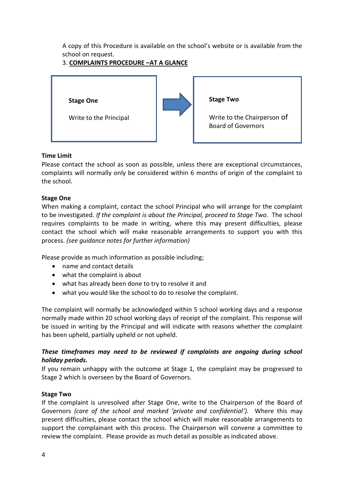A copy of this Procedure is available on the school's website or is available from the school on request.

# 3. **COMPLAINTS PROCEDURE –AT A GLANCE**



### **Time Limit**

Please contact the school as soon as possible, unless there are exceptional circumstances, complaints will normally only be considered within 6 months of origin of the complaint to the school.

### **Stage One**

When making a complaint, contact the school Principal who will arrange for the complaint to be investigated. *If the complaint is about the Principal, proceed to Stage Two.* The school requires complaints to be made in writing, where this may present difficulties, please contact the school which will make reasonable arrangements to support you with this process. *(see guidance notes for further information)*

Please provide as much information as possible including;

- name and contact details
- what the complaint is about
- what has already been done to try to resolve it and
- what you would like the school to do to resolve the complaint.

The complaint will normally be acknowledged within 5 school working days and a response normally made within 20 school working days of receipt of the complaint. This response will be issued in writing by the Principal and will indicate with reasons whether the complaint has been upheld, partially upheld or not upheld.

### *These timeframes may need to be reviewed if complaints are ongoing during school holiday periods.*

If you remain unhappy with the outcome at Stage 1, the complaint may be progressed to Stage 2 which is overseen by the Board of Governors.

#### **Stage Two**

If the complaint is unresolved after Stage One, write to the Chairperson of the Board of Governors *(care of the school and marked 'private and confidential').* Where this may present difficulties, please contact the school which will make reasonable arrangements to support the complainant with this process. The Chairperson will convene a committee to review the complaint. Please provide as much detail as possible as indicated above.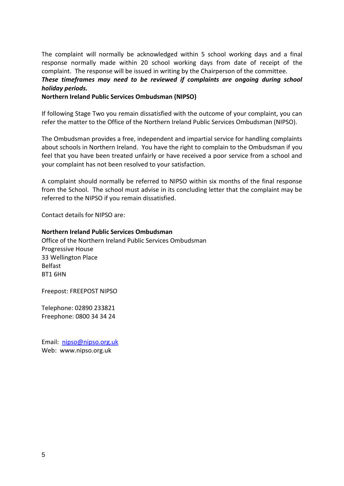The complaint will normally be acknowledged within 5 school working days and a final response normally made within 20 school working days from date of receipt of the complaint. The response will be issued in writing by the Chairperson of the committee. *These timeframes may need to be reviewed if complaints are ongoing during school holiday periods.*

**Northern Ireland Public Services Ombudsman (NIPSO)**

If following Stage Two you remain dissatisfied with the outcome of your complaint, you can refer the matter to the Office of the Northern Ireland Public Services Ombudsman (NIPSO).

The Ombudsman provides a free, independent and impartial service for handling complaints about schools in Northern Ireland. You have the right to complain to the Ombudsman if you feel that you have been treated unfairly or have received a poor service from a school and your complaint has not been resolved to your satisfaction.

A complaint should normally be referred to NIPSO within six months of the final response from the School. The school must advise in its concluding letter that the complaint may be referred to the NIPSO if you remain dissatisfied.

Contact details for NIPSO are:

**Northern Ireland Public Services Ombudsman** Office of the Northern Ireland Public Services Ombudsman Progressive House 33 Wellington Place Belfast BT1 6HN

Freepost: FREEPOST NIPSO

Telephone: 02890 233821 Freephone: 0800 34 34 24

Email: [nipso@nipso.org.uk](mailto:nipso@nipso.org.uk) Web: www.nipso.org.uk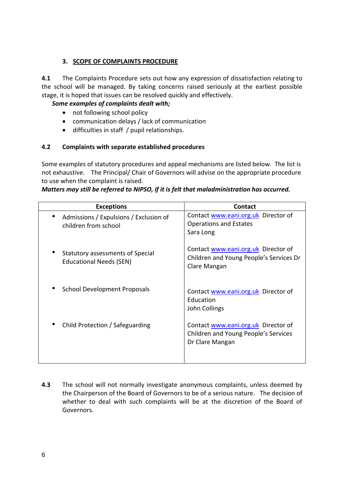## **3. SCOPE OF COMPLAINTS PROCEDURE**

**4.1** The Complaints Procedure sets out how any expression of dissatisfaction relating to the school will be managed. By taking concerns raised seriously at the earliest possible stage, it is hoped that issues can be resolved quickly and effectively.

# *Some examples of complaints dealt with;*

- not following school policy
- communication delays / lack of communication
- difficulties in staff / pupil relationships.

# **4.2 Complaints with separate established procedures**

Some examples of statutory procedures and appeal mechanisms are listed below. The list is not exhaustive. The Principal/ Chair of Governors will advise on the appropriate procedure to use when the complaint is raised.

### *Matters may still be referred to NIPSO, if it is felt that maladministration has occurred.*

| <b>Exceptions</b>                                                  | <b>Contact</b>                                                                                 |
|--------------------------------------------------------------------|------------------------------------------------------------------------------------------------|
| Admissions / Expulsions / Exclusion of<br>children from school     | Contact www.eani.org.uk Director of<br><b>Operations and Estates</b><br>Sara Long              |
| Statutory assessments of Special<br><b>Educational Needs (SEN)</b> | Contact www.eani.org.uk Director of<br>Children and Young People's Services Dr<br>Clare Mangan |
| <b>School Development Proposals</b>                                | Contact www.eani.org.uk Director of<br>Education<br>John Collings                              |
| Child Protection / Safeguarding                                    | Contact www.eani.org.uk Director of<br>Children and Young People's Services<br>Dr Clare Mangan |

**4.3** The school will not normally investigate anonymous complaints, unless deemed by the Chairperson of the Board of Governors to be of a serious nature. The decision of whether to deal with such complaints will be at the discretion of the Board of Governors.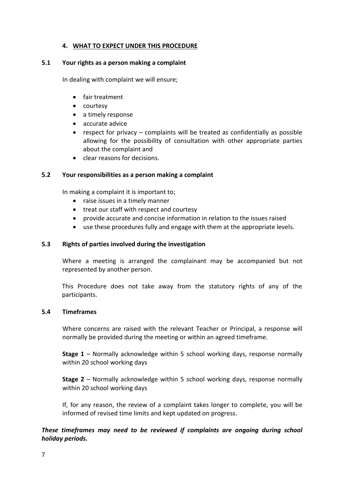#### **4. WHAT TO EXPECT UNDER THIS PROCEDURE**

#### **5.1 Your rights as a person making a complaint**

In dealing with complaint we will ensure;

- fair treatment
- courtesy
- a timely response
- accurate advice
- respect for privacy complaints will be treated as confidentially as possible allowing for the possibility of consultation with other appropriate parties about the complaint and
- clear reasons for decisions.

#### **5.2 Your responsibilities as a person making a complaint**

In making a complaint it is important to;

- raise issues in a timely manner
- treat our staff with respect and courtesy
- provide accurate and concise information in relation to the issues raised
- use these procedures fully and engage with them at the appropriate levels.

#### **5.3 Rights of parties involved during the investigation**

Where a meeting is arranged the complainant may be accompanied but not represented by another person.

This Procedure does not take away from the statutory rights of any of the participants.

#### **5.4 Timeframes**

Where concerns are raised with the relevant Teacher or Principal, a response will normally be provided during the meeting or within an agreed timeframe.

**Stage 1** – Normally acknowledge within 5 school working days, response normally within 20 school working days

**Stage 2** – Normally acknowledge within 5 school working days, response normally within 20 school working days

If, for any reason, the review of a complaint takes longer to complete, you will be informed of revised time limits and kept updated on progress.

#### *These timeframes may need to be reviewed if complaints are ongoing during school holiday periods.*